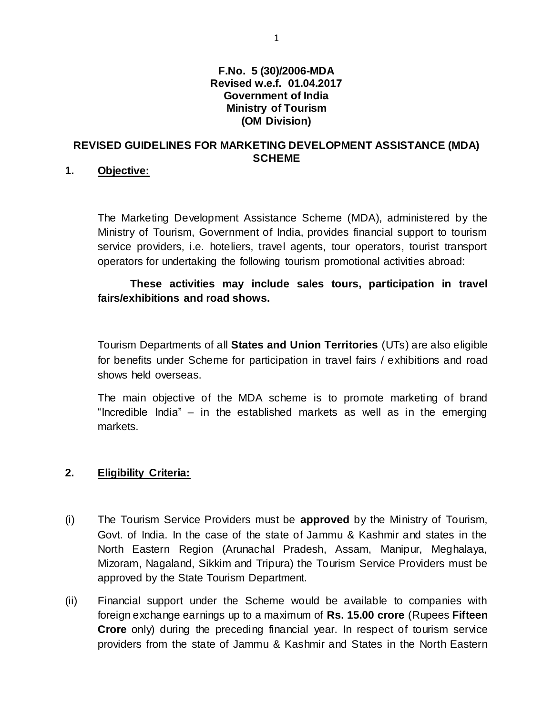### **F.No. 5 (30)/2006-MDA Revised w.e.f. 01.04.2017 Government of India Ministry of Tourism (OM Division)**

## **REVISED GUIDELINES FOR MARKETING DEVELOPMENT ASSISTANCE (MDA) SCHEME**

## **1. Objective:**

The Marketing Development Assistance Scheme (MDA), administered by the Ministry of Tourism, Government of India, provides financial support to tourism service providers, i.e. hoteliers, travel agents, tour operators, tourist transport operators for undertaking the following tourism promotional activities abroad:

**These activities may include sales tours, participation in travel fairs/exhibitions and road shows.**

Tourism Departments of all **States and Union Territories** (UTs) are also eligible for benefits under Scheme for participation in travel fairs / exhibitions and road shows held overseas.

The main objective of the MDA scheme is to promote marketing of brand "Incredible India" – in the established markets as well as in the emerging markets.

## **2. Eligibility Criteria:**

- (i) The Tourism Service Providers must be **approved** by the Ministry of Tourism, Govt. of India. In the case of the state of Jammu & Kashmir and states in the North Eastern Region (Arunachal Pradesh, Assam, Manipur, Meghalaya, Mizoram, Nagaland, Sikkim and Tripura) the Tourism Service Providers must be approved by the State Tourism Department.
- (ii) Financial support under the Scheme would be available to companies with foreign exchange earnings up to a maximum of **Rs. 15.00 crore** (Rupees **Fifteen Crore** only) during the preceding financial year. In respect of tourism service providers from the state of Jammu & Kashmir and States in the North Eastern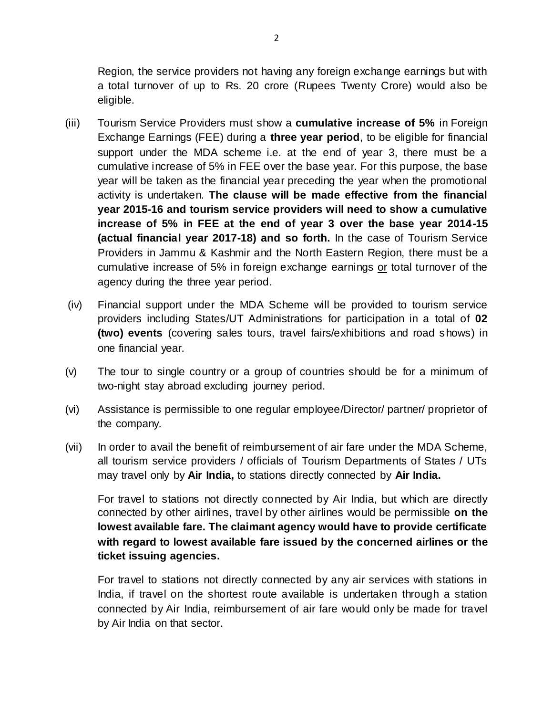Region, the service providers not having any foreign exchange earnings but with a total turnover of up to Rs. 20 crore (Rupees Twenty Crore) would also be eligible.

- (iii) Tourism Service Providers must show a **cumulative increase of 5%** in Foreign Exchange Earnings (FEE) during a **three year period**, to be eligible for financial support under the MDA scheme i.e. at the end of year 3, there must be a cumulative increase of 5% in FEE over the base year. For this purpose, the base year will be taken as the financial year preceding the year when the promotional activity is undertaken. **The clause will be made effective from the financial year 2015-16 and tourism service providers will need to show a cumulative increase of 5% in FEE at the end of year 3 over the base year 2014-15 (actual financial year 2017-18) and so forth.** In the case of Tourism Service Providers in Jammu & Kashmir and the North Eastern Region, there must be a cumulative increase of 5% in foreign exchange earnings or total turnover of the agency during the three year period.
- (iv) Financial support under the MDA Scheme will be provided to tourism service providers including States/UT Administrations for participation in a total of **02 (two) events** (covering sales tours, travel fairs/exhibitions and road shows) in one financial year.
- (v) The tour to single country or a group of countries should be for a minimum of two-night stay abroad excluding journey period.
- (vi) Assistance is permissible to one regular employee/Director/ partner/ proprietor of the company.
- (vii) In order to avail the benefit of reimbursement of air fare under the MDA Scheme, all tourism service providers / officials of Tourism Departments of States / UTs may travel only by **Air India,** to stations directly connected by **Air India.**

For travel to stations not directly connected by Air India, but which are directly connected by other airlines, travel by other airlines would be permissible **on the lowest available fare. The claimant agency would have to provide certificate with regard to lowest available fare issued by the concerned airlines or the ticket issuing agencies.**

For travel to stations not directly connected by any air services with stations in India, if travel on the shortest route available is undertaken through a station connected by Air India, reimbursement of air fare would only be made for travel by Air India on that sector.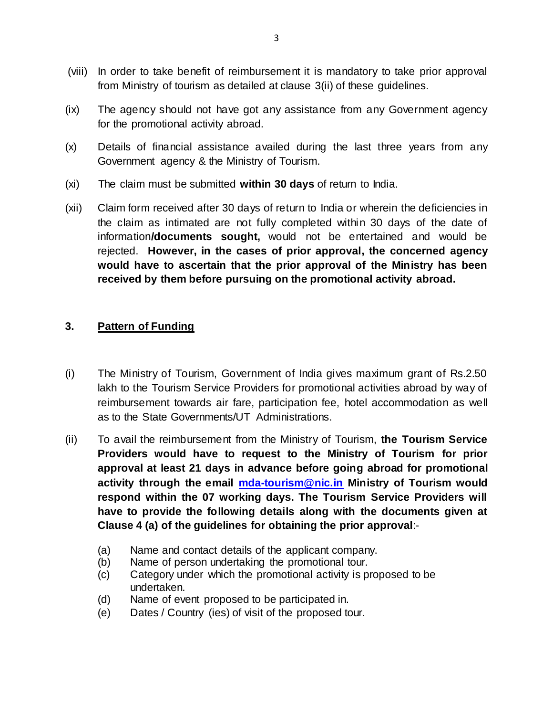- (viii) In order to take benefit of reimbursement it is mandatory to take prior approval from Ministry of tourism as detailed at clause 3(ii) of these guidelines.
- (ix) The agency should not have got any assistance from any Government agency for the promotional activity abroad.
- (x) Details of financial assistance availed during the last three years from any Government agency & the Ministry of Tourism.
- (xi) The claim must be submitted **within 30 days** of return to India.
- (xii) Claim form received after 30 days of return to India or wherein the deficiencies in the claim as intimated are not fully completed within 30 days of the date of information**/documents sought,** would not be entertained and would be rejected. **However, in the cases of prior approval, the concerned agency would have to ascertain that the prior approval of the Ministry has been received by them before pursuing on the promotional activity abroad.**

# **3. Pattern of Funding**

- (i) The Ministry of Tourism, Government of India gives maximum grant of Rs.2.50 lakh to the Tourism Service Providers for promotional activities abroad by way of reimbursement towards air fare, participation fee, hotel accommodation as well as to the State Governments/UT Administrations.
- (ii) To avail the reimbursement from the Ministry of Tourism, **the Tourism Service Providers would have to request to the Ministry of Tourism for prior approval at least 21 days in advance before going abroad for promotional activity through the email [mda-tourism@nic.in](mailto:mda-tourism@nic.in) Ministry of Tourism would respond within the 07 working days. The Tourism Service Providers will have to provide the following details along with the documents given at Clause 4 (a) of the guidelines for obtaining the prior approval**:-
	- (a) Name and contact details of the applicant company.
	- (b) Name of person undertaking the promotional tour.
	- (c) Category under which the promotional activity is proposed to be undertaken.
	- (d) Name of event proposed to be participated in.
	- (e) Dates / Country (ies) of visit of the proposed tour.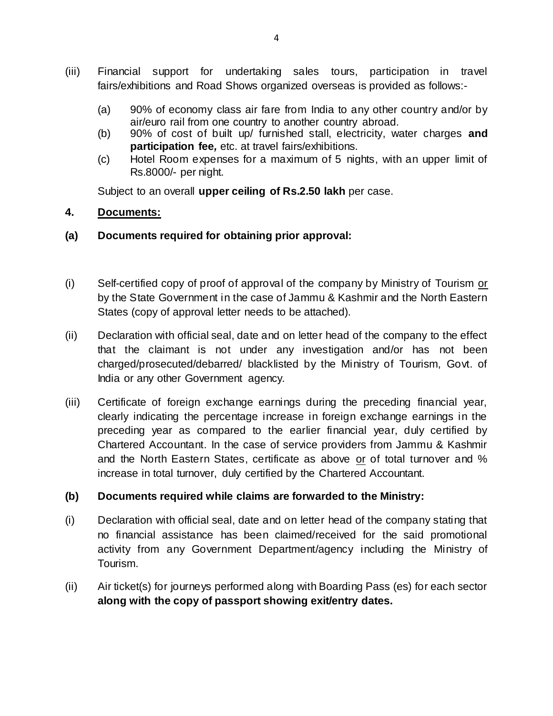- (iii) Financial support for undertaking sales tours, participation in travel fairs/exhibitions and Road Shows organized overseas is provided as follows:-
	- (a) 90% of economy class air fare from India to any other country and/or by air/euro rail from one country to another country abroad.
	- (b) 90% of cost of built up/ furnished stall, electricity, water charges **and participation fee***,* etc. at travel fairs/exhibitions.
	- (c) Hotel Room expenses for a maximum of 5 nights, with an upper limit of Rs.8000/- per night.

Subject to an overall **upper ceiling of Rs.2.50 lakh** per case.

# **4. Documents:**

## **(a) Documents required for obtaining prior approval:**

- (i) Self-certified copy of proof of approval of the company by Ministry of Tourism or by the State Government in the case of Jammu & Kashmir and the North Eastern States (copy of approval letter needs to be attached).
- (ii) Declaration with official seal, date and on letter head of the company to the effect that the claimant is not under any investigation and/or has not been charged/prosecuted/debarred/ blacklisted by the Ministry of Tourism, Govt. of India or any other Government agency.
- (iii) Certificate of foreign exchange earnings during the preceding financial year, clearly indicating the percentage increase in foreign exchange earnings in the preceding year as compared to the earlier financial year, duly certified by Chartered Accountant. In the case of service providers from Jammu & Kashmir and the North Eastern States, certificate as above or of total turnover and % increase in total turnover, duly certified by the Chartered Accountant.

## **(b) Documents required while claims are forwarded to the Ministry:**

- (i) Declaration with official seal, date and on letter head of the company stating that no financial assistance has been claimed/received for the said promotional activity from any Government Department/agency including the Ministry of Tourism.
- (ii) Air ticket(s) for journeys performed along with Boarding Pass (es) for each sector **along with the copy of passport showing exit/entry dates.**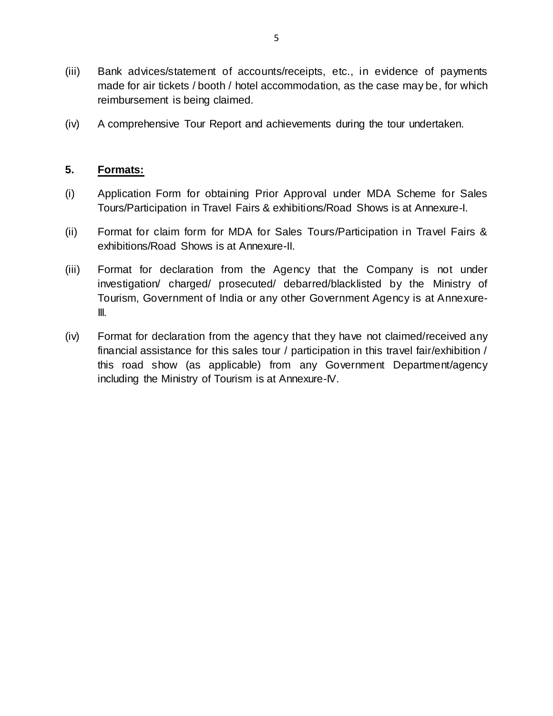- (iii) Bank advices/statement of accounts/receipts, etc., in evidence of payments made for air tickets / booth / hotel accommodation, as the case may be, for which reimbursement is being claimed.
- (iv) A comprehensive Tour Report and achievements during the tour undertaken.

## **5. Formats:**

- (i) Application Form for obtaining Prior Approval under MDA Scheme for Sales Tours/Participation in Travel Fairs & exhibitions/Road Shows is at Annexure-I.
- (ii) Format for claim form for MDA for Sales Tours/Participation in Travel Fairs & exhibitions/Road Shows is at Annexure-II.
- (iii) Format for declaration from the Agency that the Company is not under investigation/ charged/ prosecuted/ debarred/blacklisted by the Ministry of Tourism, Government of India or any other Government Agency is at Annexure-III.
- (iv) Format for declaration from the agency that they have not claimed/received any financial assistance for this sales tour / participation in this travel fair/exhibition / this road show (as applicable) from any Government Department/agency including the Ministry of Tourism is at Annexure-IV.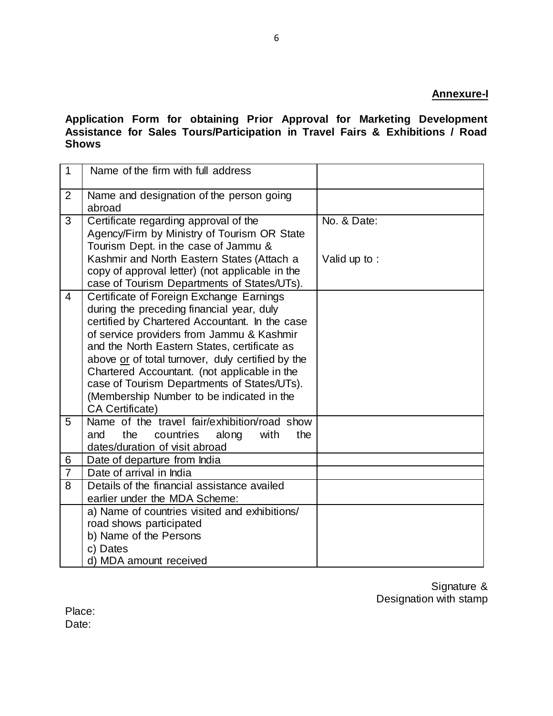#### **Annexure-I**

**Application Form for obtaining Prior Approval for Marketing Development Assistance for Sales Tours/Participation in Travel Fairs & Exhibitions / Road Shows** 

| $\mathbf{1}$   | Name of the firm with full address                                                                                                                                                                                                                                                                                                                                                                                                                              |              |
|----------------|-----------------------------------------------------------------------------------------------------------------------------------------------------------------------------------------------------------------------------------------------------------------------------------------------------------------------------------------------------------------------------------------------------------------------------------------------------------------|--------------|
| 2              | Name and designation of the person going<br>abroad                                                                                                                                                                                                                                                                                                                                                                                                              |              |
| 3              | Certificate regarding approval of the<br>Agency/Firm by Ministry of Tourism OR State<br>Tourism Dept. in the case of Jammu &                                                                                                                                                                                                                                                                                                                                    | No. & Date:  |
|                | Kashmir and North Eastern States (Attach a<br>copy of approval letter) (not applicable in the<br>case of Tourism Departments of States/UTs).                                                                                                                                                                                                                                                                                                                    | Valid up to: |
| 4              | Certificate of Foreign Exchange Earnings<br>during the preceding financial year, duly<br>certified by Chartered Accountant. In the case<br>of service providers from Jammu & Kashmir<br>and the North Eastern States, certificate as<br>above or of total turnover, duly certified by the<br>Chartered Accountant. (not applicable in the<br>case of Tourism Departments of States/UTs).<br>(Membership Number to be indicated in the<br><b>CA Certificate)</b> |              |
| 5              | Name of the travel fair/exhibition/road show<br>the<br>with<br>and<br>countries<br>along<br>the<br>dates/duration of visit abroad                                                                                                                                                                                                                                                                                                                               |              |
| 6              | Date of departure from India                                                                                                                                                                                                                                                                                                                                                                                                                                    |              |
| $\overline{7}$ | Date of arrival in India                                                                                                                                                                                                                                                                                                                                                                                                                                        |              |
| 8              | Details of the financial assistance availed<br>earlier under the MDA Scheme:                                                                                                                                                                                                                                                                                                                                                                                    |              |
|                | a) Name of countries visited and exhibitions/<br>road shows participated<br>b) Name of the Persons<br>c) Dates<br>d) MDA amount received                                                                                                                                                                                                                                                                                                                        |              |

Signature & Designation with stamp

Place: Date: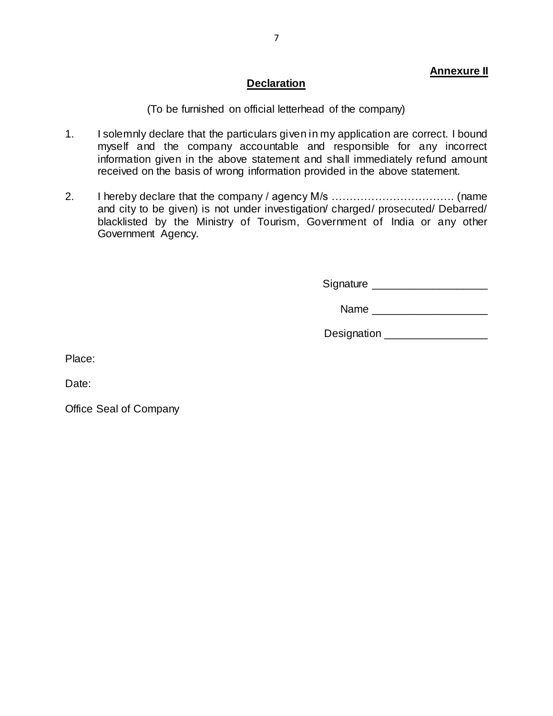#### **Annexure II**

#### **Declaration**

(To be furnished on official letterhead of the company)

- 1. I solemnly declare that the particulars given in my application are correct. I bound myself and the company accountable and responsible for any incorrect information given in the above statement and shall immediately refund amount received on the basis of wrong information provided in the above statement.
- 2. I hereby declare that the company / agency M/s ……………………………. (name and city to be given) is not under investigation/ charged/ prosecuted/ Debarred/ blacklisted by the Ministry of Tourism, Government of India or any other Government Agency.

Signature **Example 20** 

Name  $\Box$ 

Designation **Designation** 

Place:

Date:

Office Seal of Company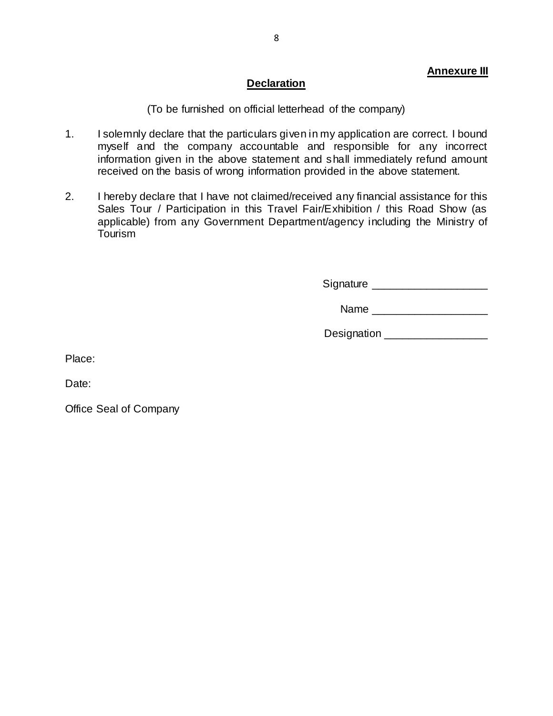## **Declaration**

(To be furnished on official letterhead of the company)

- 1. I solemnly declare that the particulars given in my application are correct. I bound myself and the company accountable and responsible for any incorrect information given in the above statement and shall immediately refund amount received on the basis of wrong information provided in the above statement.
- 2. I hereby declare that I have not claimed/received any financial assistance for this Sales Tour / Participation in this Travel Fair/Exhibition / this Road Show (as applicable) from any Government Department/agency including the Ministry of Tourism

Signature **Example 20** 

Name  $\Box$ 

Designation **Designation** 

Place:

Date:

Office Seal of Company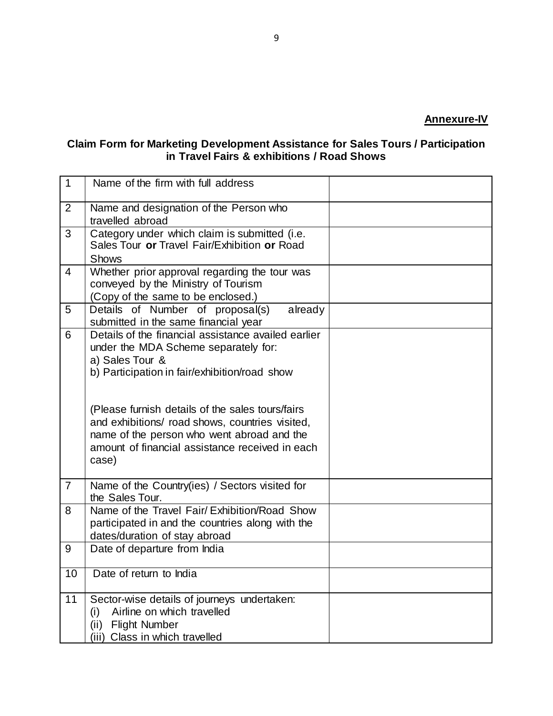#### **Claim Form for Marketing Development Assistance for Sales Tours / Participation in Travel Fairs & exhibitions / Road Shows**

| $\mathbf{1}$   | Name of the firm with full address                                                                                                                                                                            |  |
|----------------|---------------------------------------------------------------------------------------------------------------------------------------------------------------------------------------------------------------|--|
| $\overline{2}$ | Name and designation of the Person who<br>travelled abroad                                                                                                                                                    |  |
| 3              | Category under which claim is submitted (i.e.<br>Sales Tour or Travel Fair/Exhibition or Road<br><b>Shows</b>                                                                                                 |  |
| $\overline{4}$ | Whether prior approval regarding the tour was<br>conveyed by the Ministry of Tourism<br>(Copy of the same to be enclosed.)                                                                                    |  |
| 5              | Details of Number of proposal(s)<br>already<br>submitted in the same financial year                                                                                                                           |  |
| 6              | Details of the financial assistance availed earlier<br>under the MDA Scheme separately for:<br>a) Sales Tour &<br>b) Participation in fair/exhibition/road show                                               |  |
|                | (Please furnish details of the sales tours/fairs<br>and exhibitions/ road shows, countries visited,<br>name of the person who went abroad and the<br>amount of financial assistance received in each<br>case) |  |
| $\overline{7}$ | Name of the Country(ies) / Sectors visited for<br>the Sales Tour.                                                                                                                                             |  |
| 8              | Name of the Travel Fair/ Exhibition/Road Show<br>participated in and the countries along with the<br>dates/duration of stay abroad                                                                            |  |
| 9              | Date of departure from India                                                                                                                                                                                  |  |
| 10             | Date of return to India                                                                                                                                                                                       |  |
| 11             | Sector-wise details of journeys undertaken:<br>Airline on which travelled<br>(i)<br><b>Flight Number</b><br>(ii)<br>(iii) Class in which travelled                                                            |  |